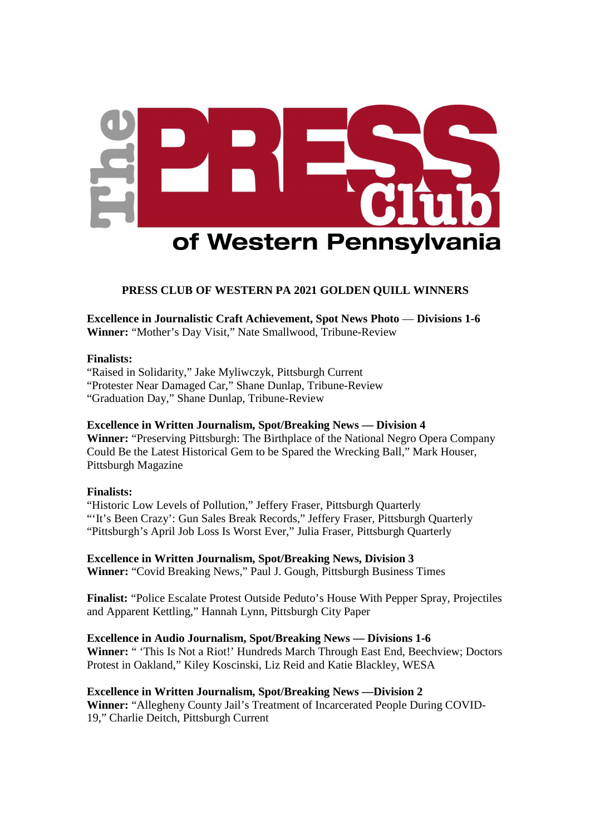

# **PRESS CLUB OF WESTERN PA 2021 GOLDEN QUILL WINNERS**

**Excellence in Journalistic Craft Achievement, Spot News Photo** — **Divisions 1-6 Winner:** "Mother's Day Visit," Nate Smallwood, Tribune-Review

## **Finalists:**

"Raised in Solidarity," Jake Myliwczyk, Pittsburgh Current "Protester Near Damaged Car," Shane Dunlap, Tribune-Review "Graduation Day," Shane Dunlap, Tribune-Review

# **Excellence in Written Journalism, Spot/Breaking News — Division 4**

**Winner:** "Preserving Pittsburgh: The Birthplace of the National Negro Opera Company Could Be the Latest Historical Gem to be Spared the Wrecking Ball," Mark Houser, Pittsburgh Magazine

## **Finalists:**

"Historic Low Levels of Pollution," Jeffery Fraser, Pittsburgh Quarterly "'It's Been Crazy': Gun Sales Break Records," Jeffery Fraser, Pittsburgh Quarterly "Pittsburgh's April Job Loss Is Worst Ever," Julia Fraser, Pittsburgh Quarterly

**Excellence in Written Journalism, Spot/Breaking News, Division 3 Winner:** "Covid Breaking News," Paul J. Gough, Pittsburgh Business Times

**Finalist:** "Police Escalate Protest Outside Peduto's House With Pepper Spray, Projectiles and Apparent Kettling," Hannah Lynn, Pittsburgh City Paper

**Excellence in Audio Journalism, Spot/Breaking News — Divisions 1-6 Winner:** " 'This Is Not a Riot!' Hundreds March Through East End, Beechview; Doctors Protest in Oakland," Kiley Koscinski, Liz Reid and Katie Blackley, WESA

**Excellence in Written Journalism, Spot/Breaking News —Division 2 Winner:** "Allegheny County Jail's Treatment of Incarcerated People During COVID-19," Charlie Deitch, Pittsburgh Current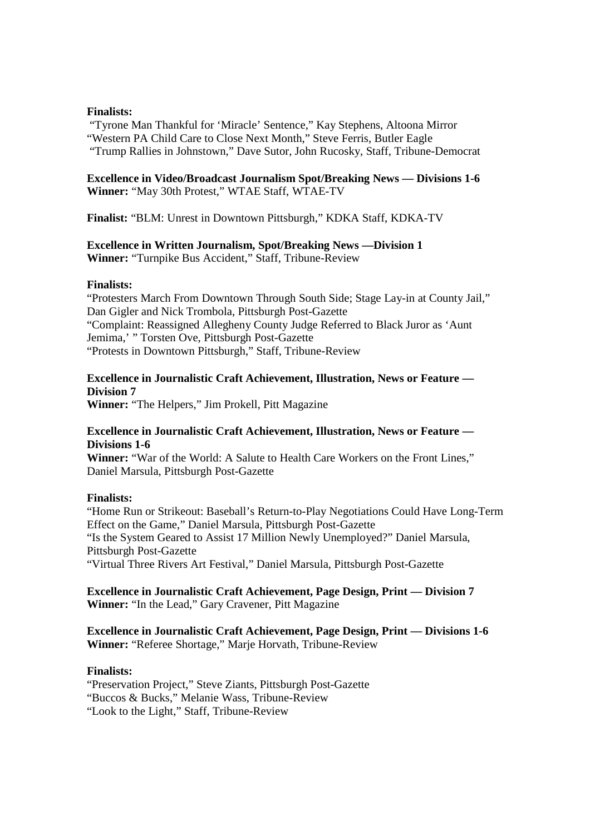#### **Finalists:**

 "Tyrone Man Thankful for 'Miracle' Sentence," Kay Stephens, Altoona Mirror "Western PA Child Care to Close Next Month," Steve Ferris, Butler Eagle "Trump Rallies in Johnstown," Dave Sutor, John Rucosky, Staff, Tribune-Democrat

**Excellence in Video/Broadcast Journalism Spot/Breaking News — Divisions 1-6 Winner:** "May 30th Protest," WTAE Staff, WTAE-TV

**Finalist:** "BLM: Unrest in Downtown Pittsburgh," KDKA Staff, KDKA-TV

# **Excellence in Written Journalism, Spot/Breaking News —Division 1**

**Winner:** "Turnpike Bus Accident," Staff, Tribune-Review

## **Finalists:**

"Protesters March From Downtown Through South Side; Stage Lay-in at County Jail," Dan Gigler and Nick Trombola, Pittsburgh Post-Gazette "Complaint: Reassigned Allegheny County Judge Referred to Black Juror as 'Aunt Jemima,' " Torsten Ove, Pittsburgh Post-Gazette "Protests in Downtown Pittsburgh," Staff, Tribune-Review

# **Excellence in Journalistic Craft Achievement, Illustration, News or Feature — Division 7**

**Winner:** "The Helpers," Jim Prokell, Pitt Magazine

# **Excellence in Journalistic Craft Achievement, Illustration, News or Feature — Divisions 1-6**

**Winner:** "War of the World: A Salute to Health Care Workers on the Front Lines," Daniel Marsula, Pittsburgh Post-Gazette

# **Finalists:**

"Home Run or Strikeout: Baseball's Return-to-Play Negotiations Could Have Long-Term Effect on the Game," Daniel Marsula, Pittsburgh Post-Gazette "Is the System Geared to Assist 17 Million Newly Unemployed?" Daniel Marsula, Pittsburgh Post-Gazette "Virtual Three Rivers Art Festival," Daniel Marsula, Pittsburgh Post-Gazette

# **Excellence in Journalistic Craft Achievement, Page Design, Print — Division 7 Winner:** "In the Lead," Gary Cravener, Pitt Magazine

# **Excellence in Journalistic Craft Achievement, Page Design, Print — Divisions 1-6 Winner:** "Referee Shortage," Marje Horvath, Tribune-Review

## **Finalists:**

"Preservation Project," Steve Ziants, Pittsburgh Post-Gazette "Buccos & Bucks," Melanie Wass, Tribune-Review "Look to the Light," Staff, Tribune-Review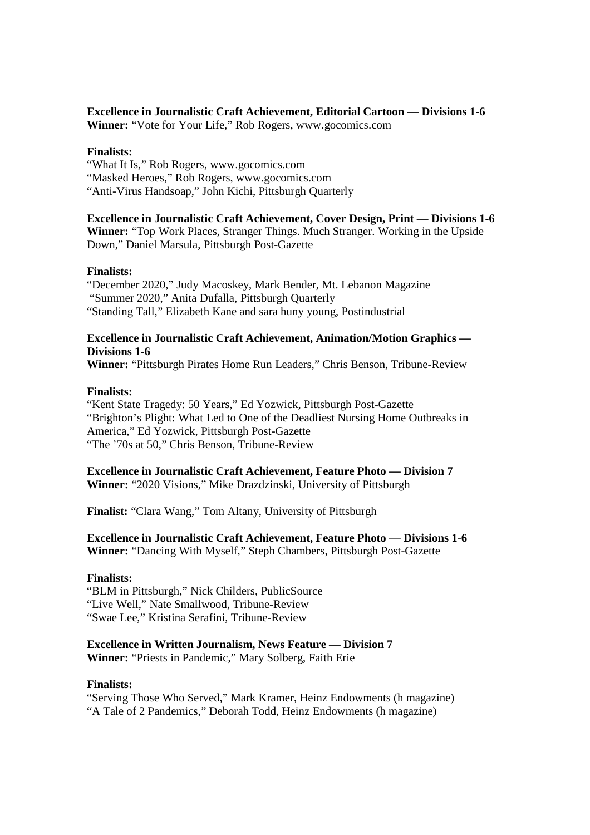# **Excellence in Journalistic Craft Achievement, Editorial Cartoon — Divisions 1-6 Winner:** "Vote for Your Life," Rob Rogers, www.gocomics.com

## **Finalists:**

"What It Is," Rob Rogers, www.gocomics.com "Masked Heroes," Rob Rogers, www.gocomics.com "Anti-Virus Handsoap," John Kichi, Pittsburgh Quarterly

**Excellence in Journalistic Craft Achievement, Cover Design, Print — Divisions 1-6 Winner:** "Top Work Places, Stranger Things. Much Stranger. Working in the Upside Down," Daniel Marsula, Pittsburgh Post-Gazette

## **Finalists:**

"December 2020," Judy Macoskey, Mark Bender, Mt. Lebanon Magazine "Summer 2020," Anita Dufalla, Pittsburgh Quarterly "Standing Tall," Elizabeth Kane and sara huny young, Postindustrial

# **Excellence in Journalistic Craft Achievement, Animation/Motion Graphics — Divisions 1-6**

**Winner:** "Pittsburgh Pirates Home Run Leaders," Chris Benson, Tribune-Review

## **Finalists:**

"Kent State Tragedy: 50 Years," Ed Yozwick, Pittsburgh Post-Gazette "Brighton's Plight: What Led to One of the Deadliest Nursing Home Outbreaks in America," Ed Yozwick, Pittsburgh Post-Gazette "The '70s at 50," Chris Benson, Tribune-Review

**Excellence in Journalistic Craft Achievement, Feature Photo — Division 7** 

**Winner:** "2020 Visions," Mike Drazdzinski, University of Pittsburgh

**Finalist:** "Clara Wang," Tom Altany, University of Pittsburgh

**Excellence in Journalistic Craft Achievement, Feature Photo — Divisions 1-6 Winner:** "Dancing With Myself," Steph Chambers, Pittsburgh Post-Gazette

## **Finalists:**

"BLM in Pittsburgh," Nick Childers, PublicSource "Live Well," Nate Smallwood, Tribune-Review "Swae Lee," Kristina Serafini, Tribune-Review

# **Excellence in Written Journalism, News Feature — Division 7**

**Winner:** "Priests in Pandemic," Mary Solberg, Faith Erie

## **Finalists:**

"Serving Those Who Served," Mark Kramer, Heinz Endowments (h magazine) "A Tale of 2 Pandemics," Deborah Todd, Heinz Endowments (h magazine)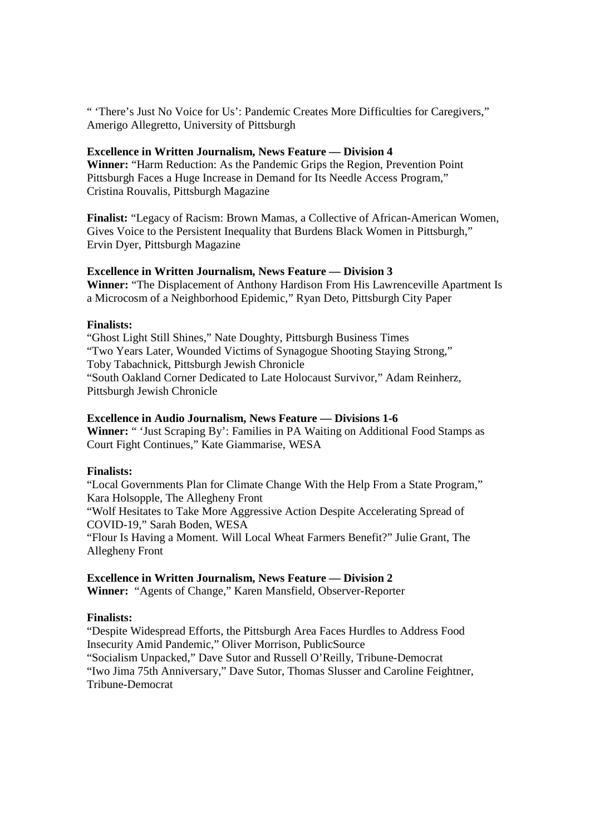" 'There's Just No Voice for Us': Pandemic Creates More Difficulties for Caregivers," Amerigo Allegretto, University of Pittsburgh

## **Excellence in Written Journalism, News Feature — Division 4**

**Winner:** "Harm Reduction: As the Pandemic Grips the Region, Prevention Point Pittsburgh Faces a Huge Increase in Demand for Its Needle Access Program," Cristina Rouvalis, Pittsburgh Magazine

**Finalist:** "Legacy of Racism: Brown Mamas, a Collective of African-American Women, Gives Voice to the Persistent Inequality that Burdens Black Women in Pittsburgh," Ervin Dyer, Pittsburgh Magazine

## **Excellence in Written Journalism, News Feature — Division 3**

**Winner:** "The Displacement of Anthony Hardison From His Lawrenceville Apartment Is a Microcosm of a Neighborhood Epidemic," Ryan Deto, Pittsburgh City Paper

## **Finalists:**

"Ghost Light Still Shines," Nate Doughty, Pittsburgh Business Times "Two Years Later, Wounded Victims of Synagogue Shooting Staying Strong," Toby Tabachnick, Pittsburgh Jewish Chronicle "South Oakland Corner Dedicated to Late Holocaust Survivor," Adam Reinherz, Pittsburgh Jewish Chronicle

## **Excellence in Audio Journalism, News Feature — Divisions 1-6**

**Winner:** " 'Just Scraping By': Families in PA Waiting on Additional Food Stamps as Court Fight Continues," Kate Giammarise, WESA

## **Finalists:**

"Local Governments Plan for Climate Change With the Help From a State Program," Kara Holsopple, The Allegheny Front "Wolf Hesitates to Take More Aggressive Action Despite Accelerating Spread of COVID-19," Sarah Boden, WESA "Flour Is Having a Moment. Will Local Wheat Farmers Benefit?" Julie Grant, The Allegheny Front

## **Excellence in Written Journalism, News Feature — Division 2**

**Winner:** "Agents of Change," Karen Mansfield, Observer-Reporter

# **Finalists:**

"Despite Widespread Efforts, the Pittsburgh Area Faces Hurdles to Address Food Insecurity Amid Pandemic," Oliver Morrison, PublicSource "Socialism Unpacked," Dave Sutor and Russell O'Reilly, Tribune-Democrat

"Iwo Jima 75th Anniversary," Dave Sutor, Thomas Slusser and Caroline Feightner, Tribune-Democrat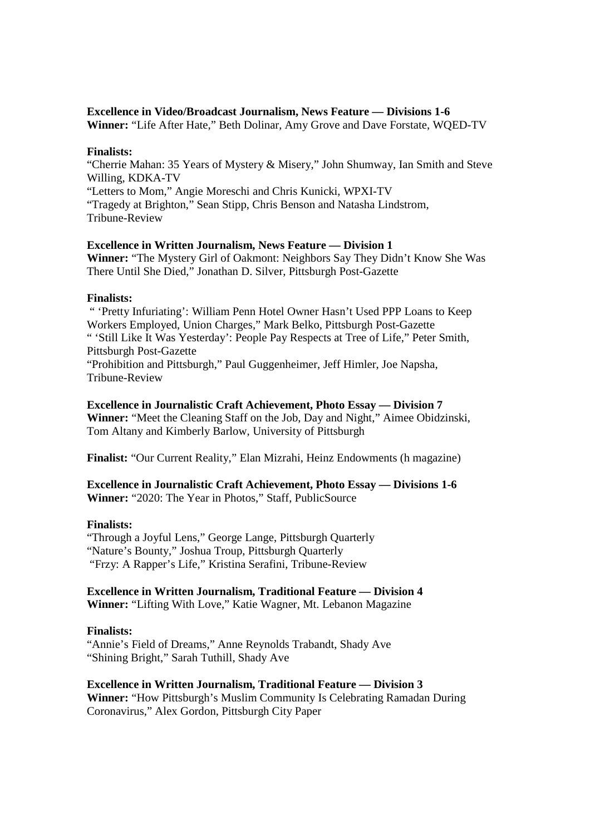## **Excellence in Video/Broadcast Journalism, News Feature — Divisions 1-6**

**Winner:** "Life After Hate," Beth Dolinar, Amy Grove and Dave Forstate, WQED-TV

## **Finalists:**

"Cherrie Mahan: 35 Years of Mystery & Misery," John Shumway, Ian Smith and Steve Willing, KDKA-TV "Letters to Mom," Angie Moreschi and Chris Kunicki, WPXI-TV "Tragedy at Brighton," Sean Stipp, Chris Benson and Natasha Lindstrom, Tribune-Review

# **Excellence in Written Journalism, News Feature — Division 1**

**Winner:** "The Mystery Girl of Oakmont: Neighbors Say They Didn't Know She Was There Until She Died," Jonathan D. Silver, Pittsburgh Post-Gazette

## **Finalists:**

 " 'Pretty Infuriating': William Penn Hotel Owner Hasn't Used PPP Loans to Keep Workers Employed, Union Charges," Mark Belko, Pittsburgh Post-Gazette " 'Still Like It Was Yesterday': People Pay Respects at Tree of Life," Peter Smith, Pittsburgh Post-Gazette "Prohibition and Pittsburgh," Paul Guggenheimer, Jeff Himler, Joe Napsha, Tribune-Review

## **Excellence in Journalistic Craft Achievement, Photo Essay — Division 7**

**Winner:** "Meet the Cleaning Staff on the Job, Day and Night," Aimee Obidzinski, Tom Altany and Kimberly Barlow, University of Pittsburgh

**Finalist:** "Our Current Reality," Elan Mizrahi, Heinz Endowments (h magazine)

**Excellence in Journalistic Craft Achievement, Photo Essay — Divisions 1-6 Winner:** "2020: The Year in Photos," Staff, PublicSource

## **Finalists:**

"Through a Joyful Lens," George Lange, Pittsburgh Quarterly "Nature's Bounty," Joshua Troup, Pittsburgh Quarterly "Frzy: A Rapper's Life," Kristina Serafini, Tribune-Review

## **Excellence in Written Journalism, Traditional Feature — Division 4**

**Winner:** "Lifting With Love," Katie Wagner, Mt. Lebanon Magazine

## **Finalists:**

"Annie's Field of Dreams," Anne Reynolds Trabandt, Shady Ave "Shining Bright," Sarah Tuthill, Shady Ave

# **Excellence in Written Journalism, Traditional Feature — Division 3**

**Winner:** "How Pittsburgh's Muslim Community Is Celebrating Ramadan During Coronavirus," Alex Gordon, Pittsburgh City Paper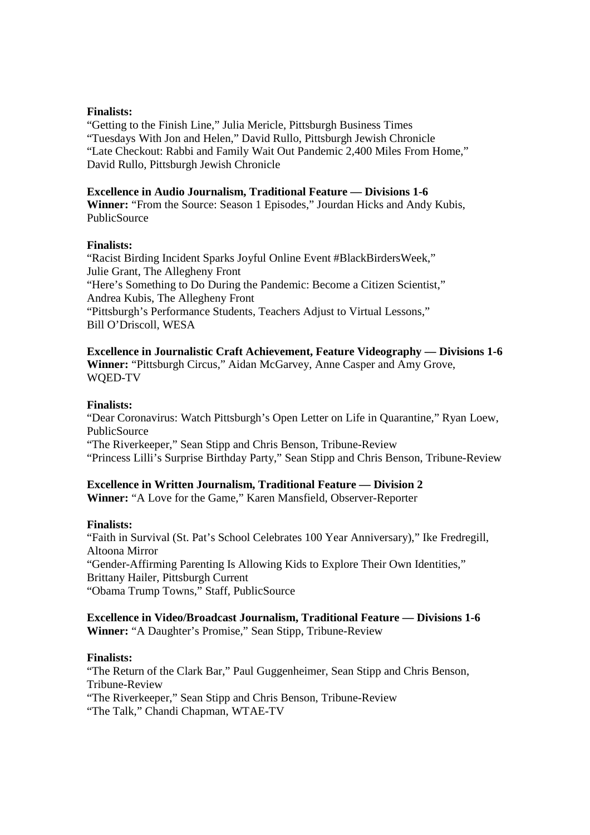#### **Finalists:**

"Getting to the Finish Line," Julia Mericle, Pittsburgh Business Times "Tuesdays With Jon and Helen," David Rullo, Pittsburgh Jewish Chronicle "Late Checkout: Rabbi and Family Wait Out Pandemic 2,400 Miles From Home," David Rullo, Pittsburgh Jewish Chronicle

#### **Excellence in Audio Journalism, Traditional Feature — Divisions 1-6**

**Winner:** "From the Source: Season 1 Episodes," Jourdan Hicks and Andy Kubis, **PublicSource** 

#### **Finalists:**

"Racist Birding Incident Sparks Joyful Online Event #BlackBirdersWeek," Julie Grant, The Allegheny Front "Here's Something to Do During the Pandemic: Become a Citizen Scientist," Andrea Kubis, The Allegheny Front "Pittsburgh's Performance Students, Teachers Adjust to Virtual Lessons," Bill O'Driscoll, WESA

**Excellence in Journalistic Craft Achievement, Feature Videography — Divisions 1-6 Winner:** "Pittsburgh Circus," Aidan McGarvey, Anne Casper and Amy Grove, WQED-TV

#### **Finalists:**

"Dear Coronavirus: Watch Pittsburgh's Open Letter on Life in Quarantine," Ryan Loew, **PublicSource** "The Riverkeeper," Sean Stipp and Chris Benson, Tribune-Review

"Princess Lilli's Surprise Birthday Party," Sean Stipp and Chris Benson, Tribune-Review

## **Excellence in Written Journalism, Traditional Feature — Division 2**

**Winner:** "A Love for the Game," Karen Mansfield, Observer-Reporter

## **Finalists:**

"Faith in Survival (St. Pat's School Celebrates 100 Year Anniversary)," Ike Fredregill, Altoona Mirror "Gender-Affirming Parenting Is Allowing Kids to Explore Their Own Identities," Brittany Hailer, Pittsburgh Current "Obama Trump Towns," Staff, PublicSource

## **Excellence in Video/Broadcast Journalism, Traditional Feature — Divisions 1-6 Winner:** "A Daughter's Promise," Sean Stipp, Tribune-Review

#### **Finalists:**

"The Return of the Clark Bar," Paul Guggenheimer, Sean Stipp and Chris Benson, Tribune-Review "The Riverkeeper," Sean Stipp and Chris Benson, Tribune-Review "The Talk," Chandi Chapman, WTAE-TV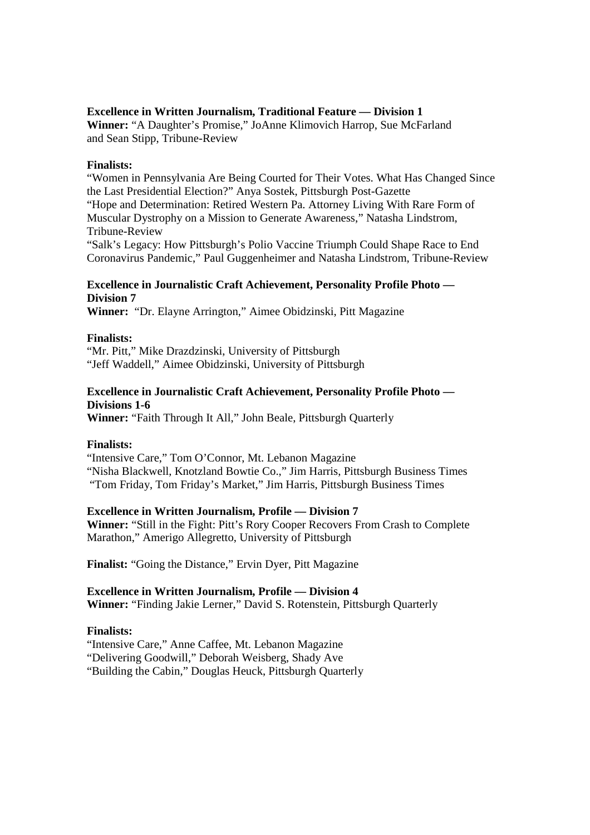## **Excellence in Written Journalism, Traditional Feature — Division 1**

**Winner:** "A Daughter's Promise," JoAnne Klimovich Harrop, Sue McFarland and Sean Stipp, Tribune-Review

#### **Finalists:**

"Women in Pennsylvania Are Being Courted for Their Votes. What Has Changed Since the Last Presidential Election?" Anya Sostek, Pittsburgh Post-Gazette "Hope and Determination: Retired Western Pa. Attorney Living With Rare Form of Muscular Dystrophy on a Mission to Generate Awareness," Natasha Lindstrom, Tribune-Review

"Salk's Legacy: How Pittsburgh's Polio Vaccine Triumph Could Shape Race to End Coronavirus Pandemic," Paul Guggenheimer and Natasha Lindstrom, Tribune-Review

# **Excellence in Journalistic Craft Achievement, Personality Profile Photo — Division 7**

**Winner:** "Dr. Elayne Arrington," Aimee Obidzinski, Pitt Magazine

## **Finalists:**

"Mr. Pitt," Mike Drazdzinski, University of Pittsburgh "Jeff Waddell," Aimee Obidzinski, University of Pittsburgh

# **Excellence in Journalistic Craft Achievement, Personality Profile Photo — Divisions 1-6**

**Winner:** "Faith Through It All," John Beale, Pittsburgh Quarterly

## **Finalists:**

"Intensive Care," Tom O'Connor, Mt. Lebanon Magazine "Nisha Blackwell, Knotzland Bowtie Co.," Jim Harris, Pittsburgh Business Times "Tom Friday, Tom Friday's Market," Jim Harris, Pittsburgh Business Times

## **Excellence in Written Journalism, Profile — Division 7**

**Winner:** "Still in the Fight: Pitt's Rory Cooper Recovers From Crash to Complete Marathon," Amerigo Allegretto, University of Pittsburgh

**Finalist:** "Going the Distance," Ervin Dyer, Pitt Magazine

# **Excellence in Written Journalism, Profile — Division 4**

**Winner:** "Finding Jakie Lerner," David S. Rotenstein, Pittsburgh Quarterly

## **Finalists:**

"Intensive Care," Anne Caffee, Mt. Lebanon Magazine

"Delivering Goodwill," Deborah Weisberg, Shady Ave

"Building the Cabin," Douglas Heuck, Pittsburgh Quarterly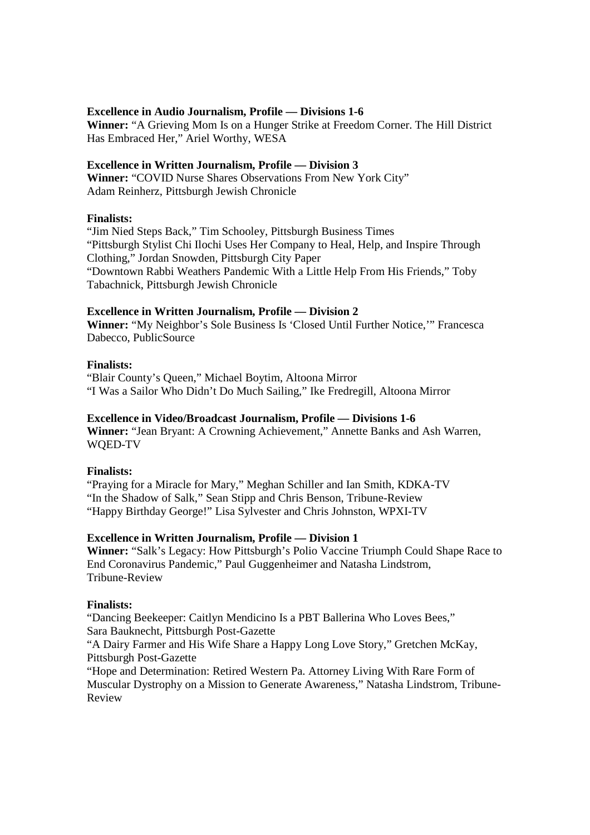## **Excellence in Audio Journalism, Profile — Divisions 1-6**

**Winner:** "A Grieving Mom Is on a Hunger Strike at Freedom Corner. The Hill District Has Embraced Her," Ariel Worthy, WESA

## **Excellence in Written Journalism, Profile — Division 3**

**Winner:** "COVID Nurse Shares Observations From New York City" Adam Reinherz, Pittsburgh Jewish Chronicle

## **Finalists:**

"Jim Nied Steps Back," Tim Schooley, Pittsburgh Business Times "Pittsburgh Stylist Chi Ilochi Uses Her Company to Heal, Help, and Inspire Through Clothing," Jordan Snowden, Pittsburgh City Paper "Downtown Rabbi Weathers Pandemic With a Little Help From His Friends," Toby Tabachnick, Pittsburgh Jewish Chronicle

## **Excellence in Written Journalism, Profile — Division 2**

**Winner:** "My Neighbor's Sole Business Is 'Closed Until Further Notice,'" Francesca Dabecco, PublicSource

## **Finalists:**

"Blair County's Queen," Michael Boytim, Altoona Mirror "I Was a Sailor Who Didn't Do Much Sailing," Ike Fredregill, Altoona Mirror

## **Excellence in Video/Broadcast Journalism, Profile — Divisions 1-6**

**Winner:** "Jean Bryant: A Crowning Achievement," Annette Banks and Ash Warren, WQED-TV

## **Finalists:**

"Praying for a Miracle for Mary," Meghan Schiller and Ian Smith, KDKA-TV "In the Shadow of Salk," Sean Stipp and Chris Benson, Tribune-Review "Happy Birthday George!" Lisa Sylvester and Chris Johnston, WPXI-TV

## **Excellence in Written Journalism, Profile — Division 1**

**Winner:** "Salk's Legacy: How Pittsburgh's Polio Vaccine Triumph Could Shape Race to End Coronavirus Pandemic," Paul Guggenheimer and Natasha Lindstrom, Tribune-Review

# **Finalists:**

"Dancing Beekeeper: Caitlyn Mendicino Is a PBT Ballerina Who Loves Bees," Sara Bauknecht, Pittsburgh Post-Gazette

"A Dairy Farmer and His Wife Share a Happy Long Love Story," Gretchen McKay, Pittsburgh Post-Gazette

"Hope and Determination: Retired Western Pa. Attorney Living With Rare Form of Muscular Dystrophy on a Mission to Generate Awareness," Natasha Lindstrom, Tribune-Review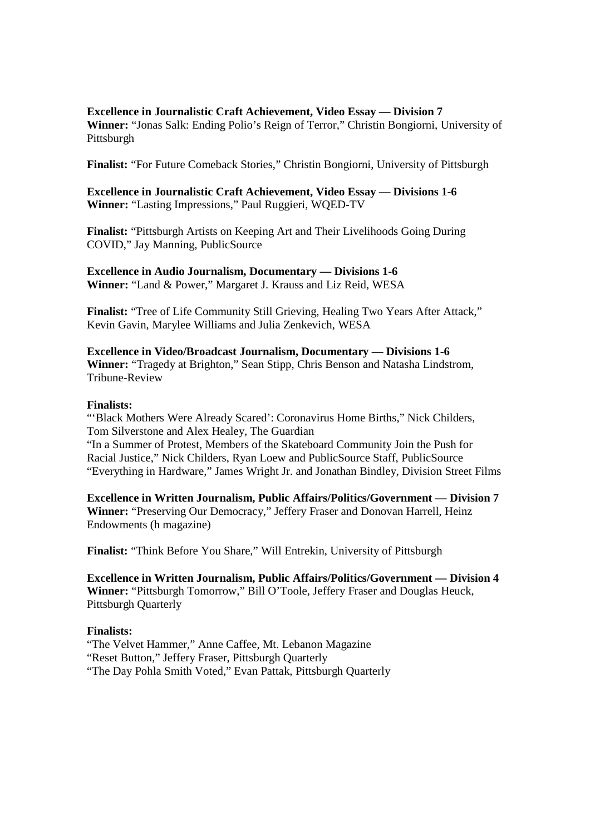# **Excellence in Journalistic Craft Achievement, Video Essay — Division 7**

**Winner:** "Jonas Salk: Ending Polio's Reign of Terror," Christin Bongiorni, University of Pittsburgh

**Finalist:** "For Future Comeback Stories," Christin Bongiorni, University of Pittsburgh

**Excellence in Journalistic Craft Achievement, Video Essay — Divisions 1-6 Winner:** "Lasting Impressions," Paul Ruggieri, WQED-TV

**Finalist:** "Pittsburgh Artists on Keeping Art and Their Livelihoods Going During COVID," Jay Manning, PublicSource

**Excellence in Audio Journalism, Documentary — Divisions 1-6 Winner:** "Land & Power," Margaret J. Krauss and Liz Reid, WESA

**Finalist:** "Tree of Life Community Still Grieving, Healing Two Years After Attack," Kevin Gavin, Marylee Williams and Julia Zenkevich, WESA

**Excellence in Video/Broadcast Journalism, Documentary — Divisions 1-6 Winner:** "Tragedy at Brighton," Sean Stipp, Chris Benson and Natasha Lindstrom, Tribune-Review

## **Finalists:**

"'Black Mothers Were Already Scared': Coronavirus Home Births," Nick Childers, Tom Silverstone and Alex Healey, The Guardian

"In a Summer of Protest, Members of the Skateboard Community Join the Push for Racial Justice," Nick Childers, Ryan Loew and PublicSource Staff, PublicSource "Everything in Hardware," James Wright Jr. and Jonathan Bindley, Division Street Films

**Excellence in Written Journalism, Public Affairs/Politics/Government — Division 7 Winner:** "Preserving Our Democracy," Jeffery Fraser and Donovan Harrell, Heinz Endowments (h magazine)

**Finalist:** "Think Before You Share," Will Entrekin, University of Pittsburgh

**Excellence in Written Journalism, Public Affairs/Politics/Government — Division 4 Winner:** "Pittsburgh Tomorrow," Bill O'Toole, Jeffery Fraser and Douglas Heuck, Pittsburgh Quarterly

# **Finalists:**

"The Velvet Hammer," Anne Caffee, Mt. Lebanon Magazine "Reset Button," Jeffery Fraser, Pittsburgh Quarterly "The Day Pohla Smith Voted," Evan Pattak, Pittsburgh Quarterly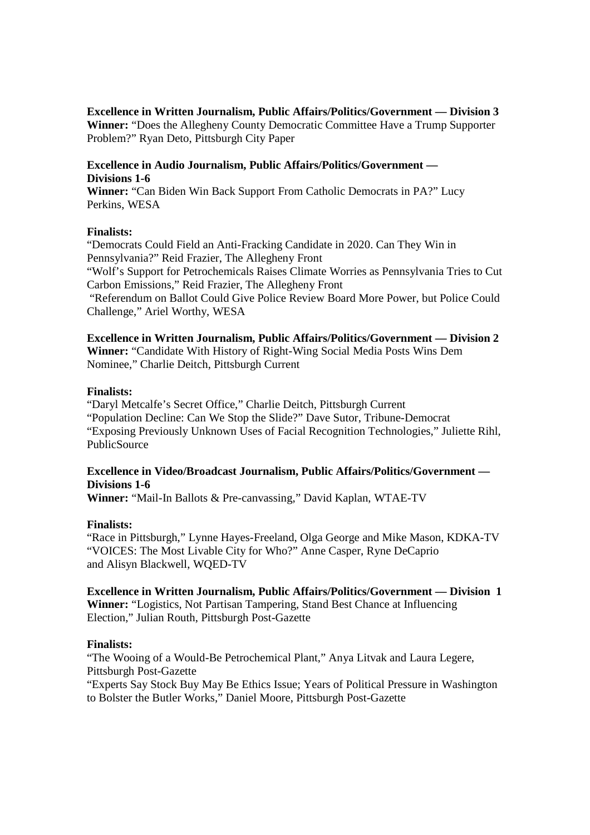# **Excellence in Written Journalism, Public Affairs/Politics/Government — Division 3**

**Winner:** "Does the Allegheny County Democratic Committee Have a Trump Supporter Problem?" Ryan Deto, Pittsburgh City Paper

## **Excellence in Audio Journalism, Public Affairs/Politics/Government — Divisions 1-6**

**Winner:** "Can Biden Win Back Support From Catholic Democrats in PA?" Lucy Perkins, WESA

## **Finalists:**

"Democrats Could Field an Anti-Fracking Candidate in 2020. Can They Win in Pennsylvania?" Reid Frazier, The Allegheny Front

"Wolf's Support for Petrochemicals Raises Climate Worries as Pennsylvania Tries to Cut Carbon Emissions," Reid Frazier, The Allegheny Front

 "Referendum on Ballot Could Give Police Review Board More Power, but Police Could Challenge," Ariel Worthy, WESA

## **Excellence in Written Journalism, Public Affairs/Politics/Government — Division 2**

**Winner:** "Candidate With History of Right-Wing Social Media Posts Wins Dem Nominee," Charlie Deitch, Pittsburgh Current

## **Finalists:**

"Daryl Metcalfe's Secret Office," Charlie Deitch, Pittsburgh Current "Population Decline: Can We Stop the Slide?" Dave Sutor, Tribune-Democrat "Exposing Previously Unknown Uses of Facial Recognition Technologies," Juliette Rihl, PublicSource

# **Excellence in Video/Broadcast Journalism, Public Affairs/Politics/Government — Divisions 1-6**

**Winner:** "Mail-In Ballots & Pre-canvassing," David Kaplan, WTAE-TV

## **Finalists:**

"Race in Pittsburgh," Lynne Hayes-Freeland, Olga George and Mike Mason, KDKA-TV "VOICES: The Most Livable City for Who?" Anne Casper, Ryne DeCaprio and Alisyn Blackwell, WQED-TV

## **Excellence in Written Journalism, Public Affairs/Politics/Government — Division 1**

**Winner:** "Logistics, Not Partisan Tampering, Stand Best Chance at Influencing Election," Julian Routh, Pittsburgh Post-Gazette

## **Finalists:**

"The Wooing of a Would-Be Petrochemical Plant," Anya Litvak and Laura Legere, Pittsburgh Post-Gazette "Experts Say Stock Buy May Be Ethics Issue; Years of Political Pressure in Washington to Bolster the Butler Works," Daniel Moore, Pittsburgh Post-Gazette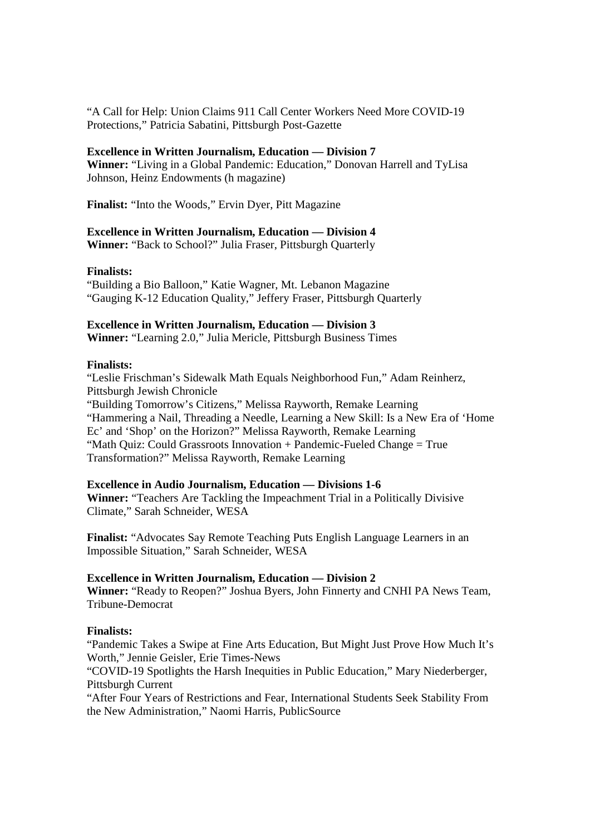"A Call for Help: Union Claims 911 Call Center Workers Need More COVID-19 Protections," Patricia Sabatini, Pittsburgh Post-Gazette

## **Excellence in Written Journalism, Education — Division 7**

**Winner:** "Living in a Global Pandemic: Education," Donovan Harrell and TyLisa Johnson, Heinz Endowments (h magazine)

**Finalist:** "Into the Woods," Ervin Dyer, Pitt Magazine

#### **Excellence in Written Journalism, Education — Division 4**

**Winner:** "Back to School?" Julia Fraser, Pittsburgh Quarterly

#### **Finalists:**

"Building a Bio Balloon," Katie Wagner, Mt. Lebanon Magazine "Gauging K-12 Education Quality," Jeffery Fraser, Pittsburgh Quarterly

#### **Excellence in Written Journalism, Education — Division 3**

**Winner:** "Learning 2.0," Julia Mericle, Pittsburgh Business Times

#### **Finalists:**

"Leslie Frischman's Sidewalk Math Equals Neighborhood Fun," Adam Reinherz, Pittsburgh Jewish Chronicle "Building Tomorrow's Citizens," Melissa Rayworth, Remake Learning "Hammering a Nail, Threading a Needle, Learning a New Skill: Is a New Era of 'Home Ec' and 'Shop' on the Horizon?" Melissa Rayworth, Remake Learning "Math Quiz: Could Grassroots Innovation + Pandemic-Fueled Change = True Transformation?" Melissa Rayworth, Remake Learning

#### **Excellence in Audio Journalism, Education — Divisions 1-6**

**Winner:** "Teachers Are Tackling the Impeachment Trial in a Politically Divisive Climate," Sarah Schneider, WESA

**Finalist:** "Advocates Say Remote Teaching Puts English Language Learners in an Impossible Situation," Sarah Schneider, WESA

#### **Excellence in Written Journalism, Education — Division 2**

**Winner:** "Ready to Reopen?" Joshua Byers, John Finnerty and CNHI PA News Team, Tribune-Democrat

#### **Finalists:**

"Pandemic Takes a Swipe at Fine Arts Education, But Might Just Prove How Much It's Worth," Jennie Geisler, Erie Times-News

"COVID-19 Spotlights the Harsh Inequities in Public Education," Mary Niederberger, Pittsburgh Current

"After Four Years of Restrictions and Fear, International Students Seek Stability From the New Administration," Naomi Harris, PublicSource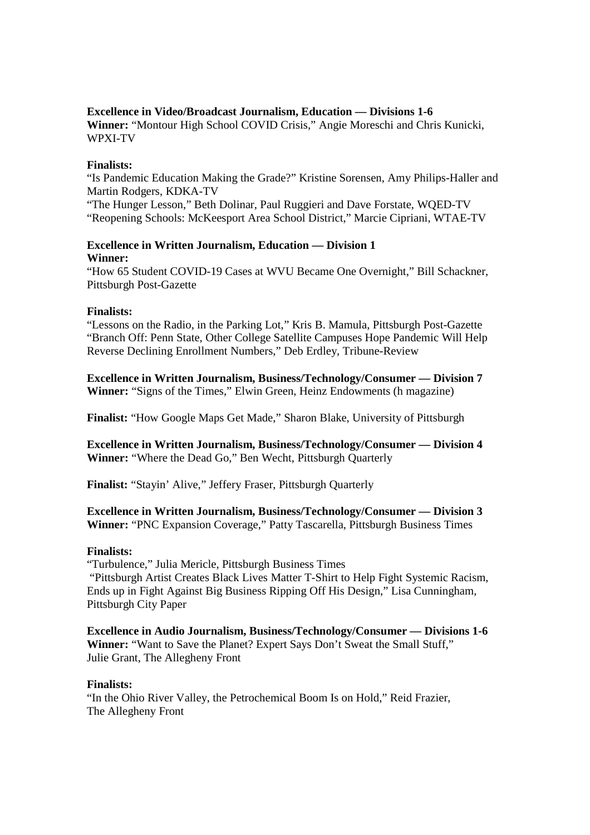# **Excellence in Video/Broadcast Journalism, Education — Divisions 1-6**

**Winner:** "Montour High School COVID Crisis," Angie Moreschi and Chris Kunicki, WPXI-TV

## **Finalists:**

"Is Pandemic Education Making the Grade?" Kristine Sorensen, Amy Philips-Haller and Martin Rodgers, KDKA-TV

"The Hunger Lesson," Beth Dolinar, Paul Ruggieri and Dave Forstate, WQED-TV "Reopening Schools: McKeesport Area School District," Marcie Cipriani, WTAE-TV

## **Excellence in Written Journalism, Education — Division 1 Winner:**

"How 65 Student COVID-19 Cases at WVU Became One Overnight," Bill Schackner, Pittsburgh Post-Gazette

## **Finalists:**

"Lessons on the Radio, in the Parking Lot," Kris B. Mamula, Pittsburgh Post-Gazette "Branch Off: Penn State, Other College Satellite Campuses Hope Pandemic Will Help Reverse Declining Enrollment Numbers," Deb Erdley, Tribune-Review

**Excellence in Written Journalism, Business/Technology/Consumer — Division 7 Winner:** "Signs of the Times," Elwin Green, Heinz Endowments (h magazine)

**Finalist:** "How Google Maps Get Made," Sharon Blake, University of Pittsburgh

**Excellence in Written Journalism, Business/Technology/Consumer — Division 4 Winner:** "Where the Dead Go," Ben Wecht, Pittsburgh Quarterly

**Finalist:** "Stayin' Alive," Jeffery Fraser, Pittsburgh Quarterly

# **Excellence in Written Journalism, Business/Technology/Consumer — Division 3**

**Winner:** "PNC Expansion Coverage," Patty Tascarella, Pittsburgh Business Times

# **Finalists:**

"Turbulence," Julia Mericle, Pittsburgh Business Times

 "Pittsburgh Artist Creates Black Lives Matter T-Shirt to Help Fight Systemic Racism, Ends up in Fight Against Big Business Ripping Off His Design," Lisa Cunningham, Pittsburgh City Paper

**Excellence in Audio Journalism, Business/Technology/Consumer — Divisions 1-6 Winner:** "Want to Save the Planet? Expert Says Don't Sweat the Small Stuff," Julie Grant, The Allegheny Front

# **Finalists:**

"In the Ohio River Valley, the Petrochemical Boom Is on Hold," Reid Frazier, The Allegheny Front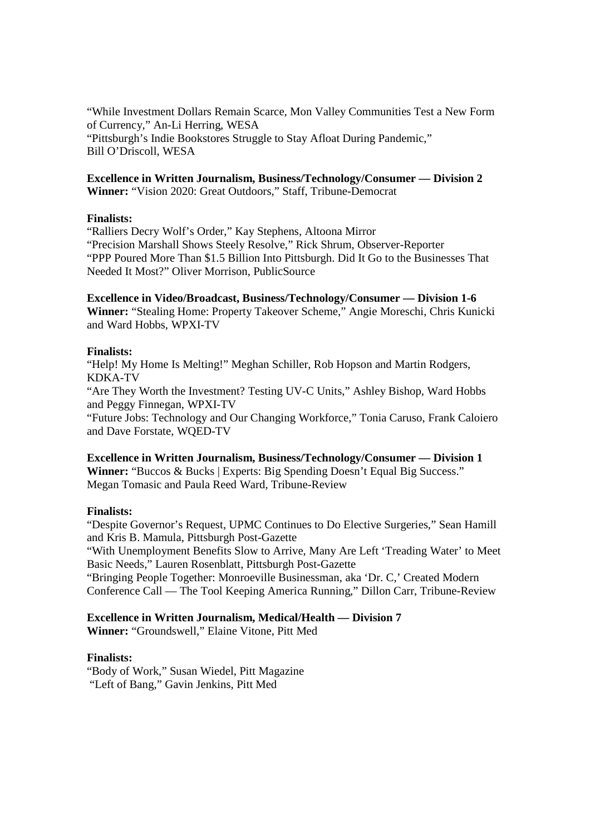"While Investment Dollars Remain Scarce, Mon Valley Communities Test a New Form of Currency," An-Li Herring, WESA "Pittsburgh's Indie Bookstores Struggle to Stay Afloat During Pandemic," Bill O'Driscoll, WESA

# **Excellence in Written Journalism, Business/Technology/Consumer — Division 2**

**Winner:** "Vision 2020: Great Outdoors," Staff, Tribune-Democrat

# **Finalists:**

"Ralliers Decry Wolf's Order," Kay Stephens, Altoona Mirror "Precision Marshall Shows Steely Resolve," Rick Shrum, Observer-Reporter "PPP Poured More Than \$1.5 Billion Into Pittsburgh. Did It Go to the Businesses That Needed It Most?" Oliver Morrison, PublicSource

# **Excellence in Video/Broadcast, Business/Technology/Consumer — Division 1-6**

**Winner:** "Stealing Home: Property Takeover Scheme," Angie Moreschi, Chris Kunicki and Ward Hobbs, WPXI-TV

# **Finalists:**

"Help! My Home Is Melting!" Meghan Schiller, Rob Hopson and Martin Rodgers, KDKA-TV

"Are They Worth the Investment? Testing UV-C Units," Ashley Bishop, Ward Hobbs and Peggy Finnegan, WPXI-TV

"Future Jobs: Technology and Our Changing Workforce," Tonia Caruso, Frank Caloiero and Dave Forstate, WQED-TV

# **Excellence in Written Journalism, Business/Technology/Consumer — Division 1 Winner:** "Buccos & Bucks | Experts: Big Spending Doesn't Equal Big Success." Megan Tomasic and Paula Reed Ward, Tribune-Review

# **Finalists:**

"Despite Governor's Request, UPMC Continues to Do Elective Surgeries," Sean Hamill and Kris B. Mamula, Pittsburgh Post-Gazette

"With Unemployment Benefits Slow to Arrive, Many Are Left 'Treading Water' to Meet Basic Needs," Lauren Rosenblatt, Pittsburgh Post-Gazette

"Bringing People Together: Monroeville Businessman, aka 'Dr. C,' Created Modern Conference Call — The Tool Keeping America Running," Dillon Carr, Tribune-Review

# **Excellence in Written Journalism, Medical/Health — Division 7**

**Winner:** "Groundswell," Elaine Vitone, Pitt Med

# **Finalists:**

"Body of Work," Susan Wiedel, Pitt Magazine "Left of Bang," Gavin Jenkins, Pitt Med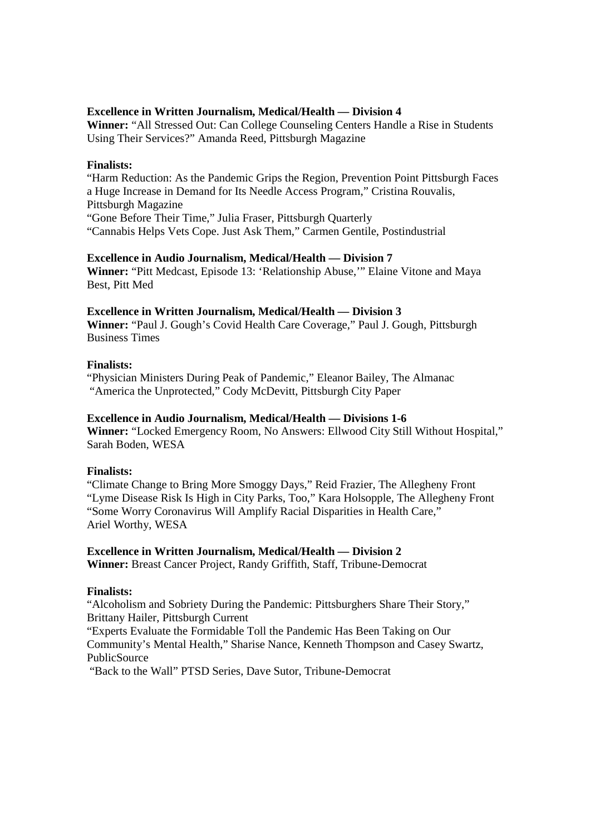# **Excellence in Written Journalism, Medical/Health — Division 4**

**Winner:** "All Stressed Out: Can College Counseling Centers Handle a Rise in Students Using Their Services?" Amanda Reed, Pittsburgh Magazine

#### **Finalists:**

"Harm Reduction: As the Pandemic Grips the Region, Prevention Point Pittsburgh Faces a Huge Increase in Demand for Its Needle Access Program," Cristina Rouvalis, Pittsburgh Magazine "Gone Before Their Time," Julia Fraser, Pittsburgh Quarterly "Cannabis Helps Vets Cope. Just Ask Them," Carmen Gentile, Postindustrial

# **Excellence in Audio Journalism, Medical/Health — Division 7**

**Winner:** "Pitt Medcast, Episode 13: 'Relationship Abuse,'" Elaine Vitone and Maya Best, Pitt Med

#### **Excellence in Written Journalism, Medical/Health — Division 3**

**Winner:** "Paul J. Gough's Covid Health Care Coverage," Paul J. Gough, Pittsburgh Business Times

#### **Finalists:**

"Physician Ministers During Peak of Pandemic," Eleanor Bailey, The Almanac "America the Unprotected," Cody McDevitt, Pittsburgh City Paper

#### **Excellence in Audio Journalism, Medical/Health — Divisions 1-6**

**Winner:** "Locked Emergency Room, No Answers: Ellwood City Still Without Hospital," Sarah Boden, WESA

#### **Finalists:**

"Climate Change to Bring More Smoggy Days," Reid Frazier, The Allegheny Front "Lyme Disease Risk Is High in City Parks, Too," Kara Holsopple, The Allegheny Front "Some Worry Coronavirus Will Amplify Racial Disparities in Health Care," Ariel Worthy, WESA

## **Excellence in Written Journalism, Medical/Health — Division 2**

**Winner:** Breast Cancer Project, Randy Griffith, Staff, Tribune-Democrat

## **Finalists:**

"Alcoholism and Sobriety During the Pandemic: Pittsburghers Share Their Story," Brittany Hailer, Pittsburgh Current

"Experts Evaluate the Formidable Toll the Pandemic Has Been Taking on Our Community's Mental Health," Sharise Nance, Kenneth Thompson and Casey Swartz, PublicSource

"Back to the Wall" PTSD Series, Dave Sutor, Tribune-Democrat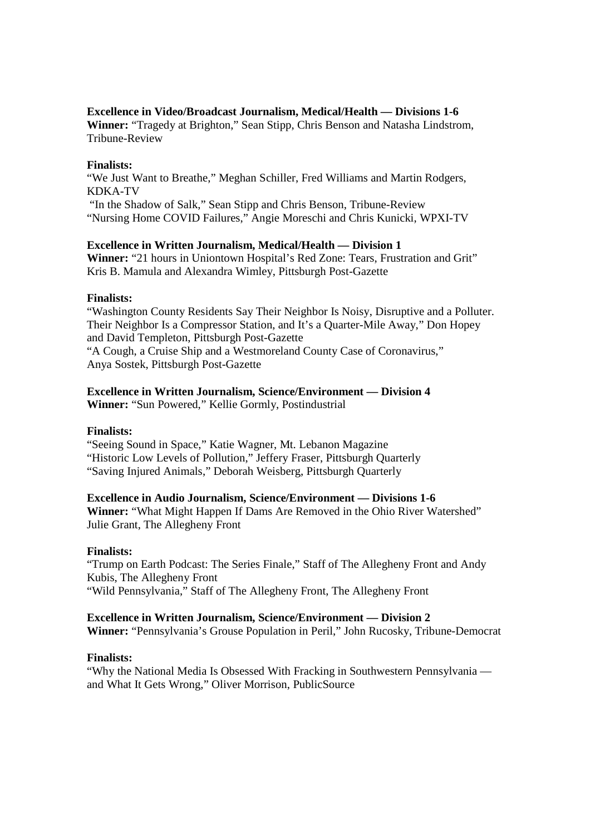## **Excellence in Video/Broadcast Journalism, Medical/Health — Divisions 1-6**

**Winner:** "Tragedy at Brighton," Sean Stipp, Chris Benson and Natasha Lindstrom, Tribune-Review

## **Finalists:**

"We Just Want to Breathe," Meghan Schiller, Fred Williams and Martin Rodgers, KDKA-TV "In the Shadow of Salk," Sean Stipp and Chris Benson, Tribune-Review "Nursing Home COVID Failures," Angie Moreschi and Chris Kunicki, WPXI-TV

# **Excellence in Written Journalism, Medical/Health — Division 1**

**Winner:** "21 hours in Uniontown Hospital's Red Zone: Tears, Frustration and Grit" Kris B. Mamula and Alexandra Wimley, Pittsburgh Post-Gazette

## **Finalists:**

"Washington County Residents Say Their Neighbor Is Noisy, Disruptive and a Polluter. Their Neighbor Is a Compressor Station, and It's a Quarter-Mile Away," Don Hopey and David Templeton, Pittsburgh Post-Gazette "A Cough, a Cruise Ship and a Westmoreland County Case of Coronavirus,"

Anya Sostek, Pittsburgh Post-Gazette

# **Excellence in Written Journalism, Science/Environment — Division 4**

**Winner:** "Sun Powered," Kellie Gormly, Postindustrial

# **Finalists:**

"Seeing Sound in Space," Katie Wagner, Mt. Lebanon Magazine "Historic Low Levels of Pollution," Jeffery Fraser, Pittsburgh Quarterly "Saving Injured Animals," Deborah Weisberg, Pittsburgh Quarterly

## **Excellence in Audio Journalism, Science/Environment — Divisions 1-6**

**Winner:** "What Might Happen If Dams Are Removed in the Ohio River Watershed" Julie Grant, The Allegheny Front

# **Finalists:**

"Trump on Earth Podcast: The Series Finale," Staff of The Allegheny Front and Andy Kubis, The Allegheny Front "Wild Pennsylvania," Staff of The Allegheny Front, The Allegheny Front

# **Excellence in Written Journalism, Science/Environment — Division 2**

**Winner:** "Pennsylvania's Grouse Population in Peril," John Rucosky, Tribune-Democrat

# **Finalists:**

"Why the National Media Is Obsessed With Fracking in Southwestern Pennsylvania and What It Gets Wrong," Oliver Morrison, PublicSource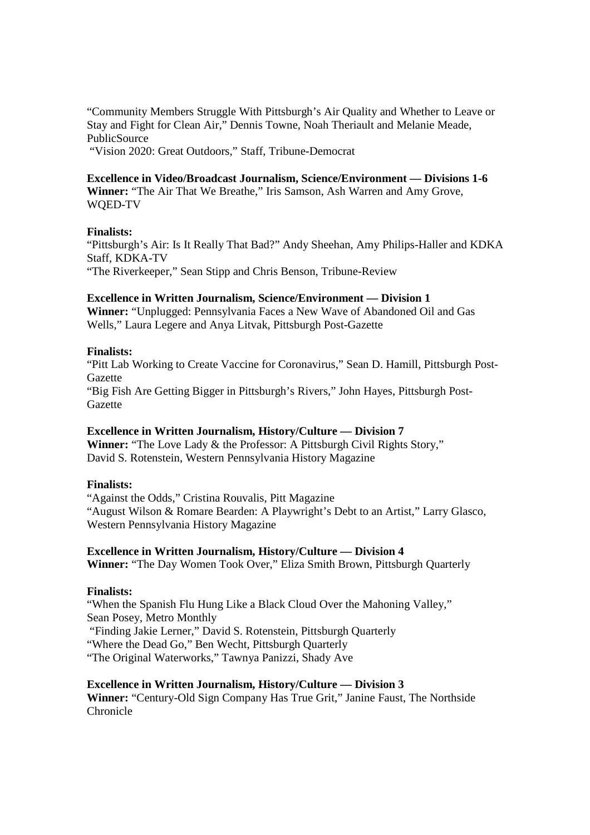"Community Members Struggle With Pittsburgh's Air Quality and Whether to Leave or Stay and Fight for Clean Air," Dennis Towne, Noah Theriault and Melanie Meade, PublicSource

"Vision 2020: Great Outdoors," Staff, Tribune-Democrat

## **Excellence in Video/Broadcast Journalism, Science/Environment — Divisions 1-6**

**Winner:** "The Air That We Breathe," Iris Samson, Ash Warren and Amy Grove, WQED-TV

## **Finalists:**

"Pittsburgh's Air: Is It Really That Bad?" Andy Sheehan, Amy Philips-Haller and KDKA Staff, KDKA-TV

"The Riverkeeper," Sean Stipp and Chris Benson, Tribune-Review

# **Excellence in Written Journalism, Science/Environment — Division 1**

**Winner:** "Unplugged: Pennsylvania Faces a New Wave of Abandoned Oil and Gas Wells," Laura Legere and Anya Litvak, Pittsburgh Post-Gazette

# **Finalists:**

"Pitt Lab Working to Create Vaccine for Coronavirus," Sean D. Hamill, Pittsburgh Post-Gazette

"Big Fish Are Getting Bigger in Pittsburgh's Rivers," John Hayes, Pittsburgh Post-Gazette

# **Excellence in Written Journalism, History/Culture — Division 7**

**Winner:** "The Love Lady & the Professor: A Pittsburgh Civil Rights Story," David S. Rotenstein, Western Pennsylvania History Magazine

# **Finalists:**

"Against the Odds," Cristina Rouvalis, Pitt Magazine "August Wilson & Romare Bearden: A Playwright's Debt to an Artist," Larry Glasco, Western Pennsylvania History Magazine

# **Excellence in Written Journalism, History/Culture — Division 4**

**Winner:** "The Day Women Took Over," Eliza Smith Brown, Pittsburgh Quarterly

# **Finalists:**

"When the Spanish Flu Hung Like a Black Cloud Over the Mahoning Valley," Sean Posey, Metro Monthly "Finding Jakie Lerner," David S. Rotenstein, Pittsburgh Quarterly "Where the Dead Go," Ben Wecht, Pittsburgh Quarterly "The Original Waterworks," Tawnya Panizzi, Shady Ave

# **Excellence in Written Journalism, History/Culture — Division 3**

**Winner:** "Century-Old Sign Company Has True Grit," Janine Faust, The Northside Chronicle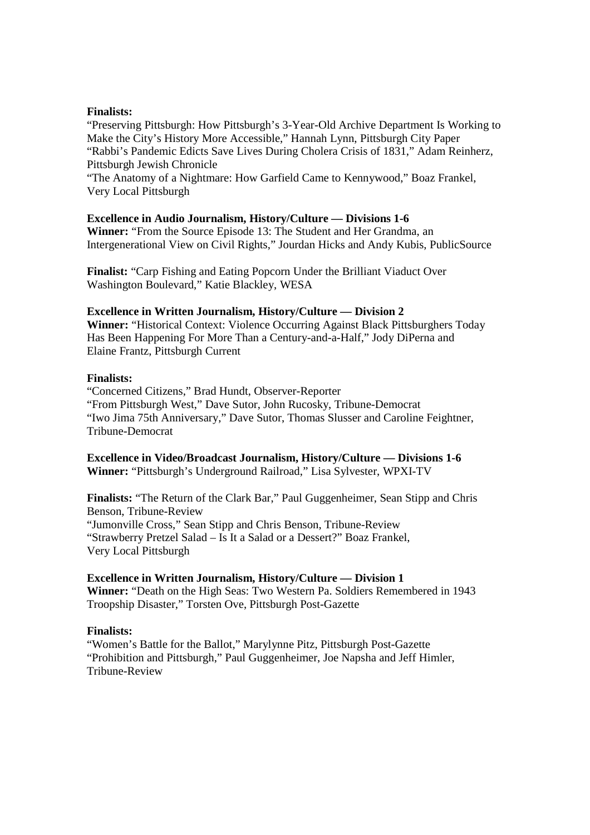## **Finalists:**

"Preserving Pittsburgh: How Pittsburgh's 3-Year-Old Archive Department Is Working to Make the City's History More Accessible," Hannah Lynn, Pittsburgh City Paper "Rabbi's Pandemic Edicts Save Lives During Cholera Crisis of 1831," Adam Reinherz, Pittsburgh Jewish Chronicle

"The Anatomy of a Nightmare: How Garfield Came to Kennywood," Boaz Frankel, Very Local Pittsburgh

## **Excellence in Audio Journalism, History/Culture — Divisions 1-6**

**Winner:** "From the Source Episode 13: The Student and Her Grandma, an Intergenerational View on Civil Rights," Jourdan Hicks and Andy Kubis, PublicSource

**Finalist:** "Carp Fishing and Eating Popcorn Under the Brilliant Viaduct Over Washington Boulevard," Katie Blackley, WESA

## **Excellence in Written Journalism, History/Culture — Division 2**

**Winner:** "Historical Context: Violence Occurring Against Black Pittsburghers Today Has Been Happening For More Than a Century-and-a-Half," Jody DiPerna and Elaine Frantz, Pittsburgh Current

## **Finalists:**

"Concerned Citizens," Brad Hundt, Observer-Reporter "From Pittsburgh West," Dave Sutor, John Rucosky, Tribune-Democrat "Iwo Jima 75th Anniversary," Dave Sutor, Thomas Slusser and Caroline Feightner, Tribune-Democrat

**Excellence in Video/Broadcast Journalism, History/Culture — Divisions 1-6 Winner:** "Pittsburgh's Underground Railroad," Lisa Sylvester, WPXI-TV

**Finalists:** "The Return of the Clark Bar," Paul Guggenheimer, Sean Stipp and Chris Benson, Tribune-Review "Jumonville Cross," Sean Stipp and Chris Benson, Tribune-Review "Strawberry Pretzel Salad – Is It a Salad or a Dessert?" Boaz Frankel, Very Local Pittsburgh

## **Excellence in Written Journalism, History/Culture — Division 1**

**Winner:** "Death on the High Seas: Two Western Pa. Soldiers Remembered in 1943 Troopship Disaster," Torsten Ove, Pittsburgh Post-Gazette

## **Finalists:**

"Women's Battle for the Ballot," Marylynne Pitz, Pittsburgh Post-Gazette "Prohibition and Pittsburgh," Paul Guggenheimer, Joe Napsha and Jeff Himler, Tribune-Review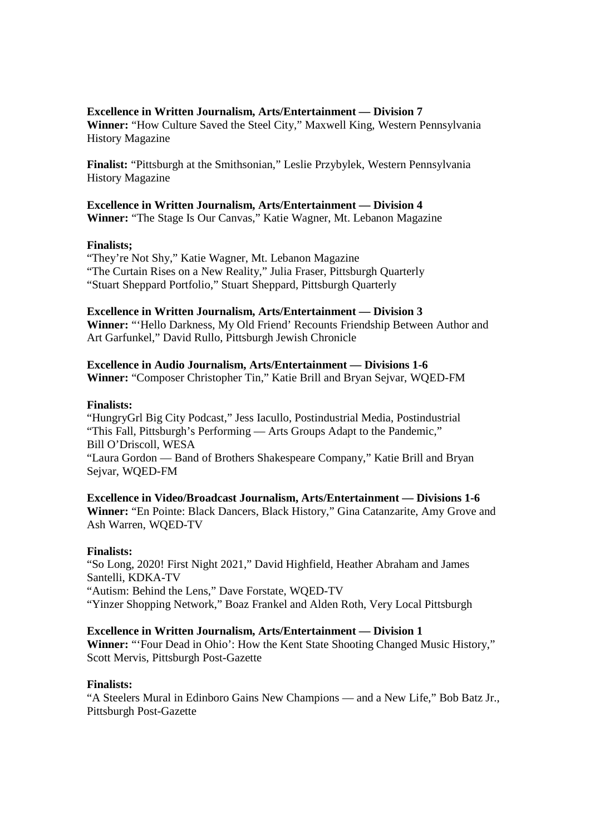## **Excellence in Written Journalism, Arts/Entertainment — Division 7**

**Winner:** "How Culture Saved the Steel City," Maxwell King, Western Pennsylvania History Magazine

**Finalist:** "Pittsburgh at the Smithsonian," Leslie Przybylek, Western Pennsylvania History Magazine

# **Excellence in Written Journalism, Arts/Entertainment — Division 4**

**Winner:** "The Stage Is Our Canvas," Katie Wagner, Mt. Lebanon Magazine

#### **Finalists;**

"They're Not Shy," Katie Wagner, Mt. Lebanon Magazine "The Curtain Rises on a New Reality," Julia Fraser, Pittsburgh Quarterly "Stuart Sheppard Portfolio," Stuart Sheppard, Pittsburgh Quarterly

## **Excellence in Written Journalism, Arts/Entertainment — Division 3**

**Winner:** "'Hello Darkness, My Old Friend' Recounts Friendship Between Author and Art Garfunkel," David Rullo, Pittsburgh Jewish Chronicle

**Excellence in Audio Journalism, Arts/Entertainment — Divisions 1-6 Winner:** "Composer Christopher Tin," Katie Brill and Bryan Sejvar, WQED-FM

#### **Finalists:**

"HungryGrl Big City Podcast," Jess Iacullo, Postindustrial Media, Postindustrial "This Fall, Pittsburgh's Performing — Arts Groups Adapt to the Pandemic," Bill O'Driscoll, WESA "Laura Gordon — Band of Brothers Shakespeare Company," Katie Brill and Bryan Sejvar, WQED-FM

**Excellence in Video/Broadcast Journalism, Arts/Entertainment — Divisions 1-6 Winner:** "En Pointe: Black Dancers, Black History," Gina Catanzarite, Amy Grove and Ash Warren, WQED-TV

## **Finalists:**

"So Long, 2020! First Night 2021," David Highfield, Heather Abraham and James Santelli, KDKA-TV "Autism: Behind the Lens," Dave Forstate, WQED-TV "Yinzer Shopping Network," Boaz Frankel and Alden Roth, Very Local Pittsburgh

## **Excellence in Written Journalism, Arts/Entertainment — Division 1**

**Winner:** "'Four Dead in Ohio': How the Kent State Shooting Changed Music History," Scott Mervis, Pittsburgh Post-Gazette

## **Finalists:**

"A Steelers Mural in Edinboro Gains New Champions — and a New Life," Bob Batz Jr., Pittsburgh Post-Gazette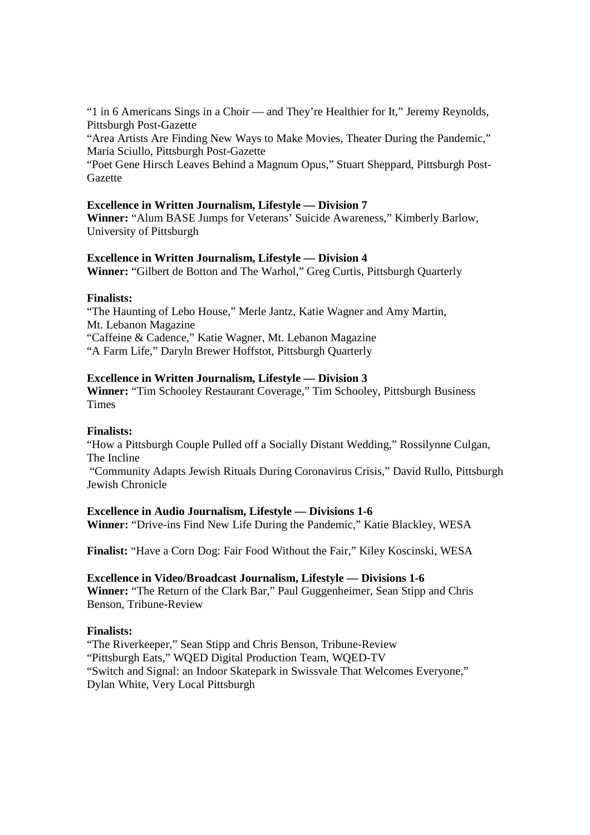"1 in 6 Americans Sings in a Choir — and They're Healthier for It," Jeremy Reynolds, Pittsburgh Post-Gazette

"Area Artists Are Finding New Ways to Make Movies, Theater During the Pandemic," Maria Sciullo, Pittsburgh Post-Gazette

"Poet Gene Hirsch Leaves Behind a Magnum Opus," Stuart Sheppard, Pittsburgh Post-Gazette

## **Excellence in Written Journalism, Lifestyle — Division 7**

**Winner:** "Alum BASE Jumps for Veterans' Suicide Awareness," Kimberly Barlow, University of Pittsburgh

#### **Excellence in Written Journalism, Lifestyle — Division 4**

**Winner:** "Gilbert de Botton and The Warhol," Greg Curtis, Pittsburgh Quarterly

#### **Finalists:**

"The Haunting of Lebo House," Merle Jantz, Katie Wagner and Amy Martin, Mt. Lebanon Magazine "Caffeine & Cadence," Katie Wagner, Mt. Lebanon Magazine "A Farm Life," Daryln Brewer Hoffstot, Pittsburgh Quarterly

#### **Excellence in Written Journalism, Lifestyle — Division 3**

**Winner:** "Tim Schooley Restaurant Coverage," Tim Schooley, Pittsburgh Business **Times** 

#### **Finalists:**

"How a Pittsburgh Couple Pulled off a Socially Distant Wedding," Rossilynne Culgan, The Incline

 "Community Adapts Jewish Rituals During Coronavirus Crisis," David Rullo, Pittsburgh Jewish Chronicle

## **Excellence in Audio Journalism, Lifestyle — Divisions 1-6**

**Winner:** "Drive-ins Find New Life During the Pandemic," Katie Blackley, WESA

**Finalist:** "Have a Corn Dog: Fair Food Without the Fair," Kiley Koscinski, WESA

**Excellence in Video/Broadcast Journalism, Lifestyle — Divisions 1-6 Winner:** "The Return of the Clark Bar," Paul Guggenheimer, Sean Stipp and Chris Benson, Tribune-Review

#### **Finalists:**

"The Riverkeeper," Sean Stipp and Chris Benson, Tribune-Review "Pittsburgh Eats," WQED Digital Production Team, WQED-TV "Switch and Signal: an Indoor Skatepark in Swissvale That Welcomes Everyone," Dylan White, Very Local Pittsburgh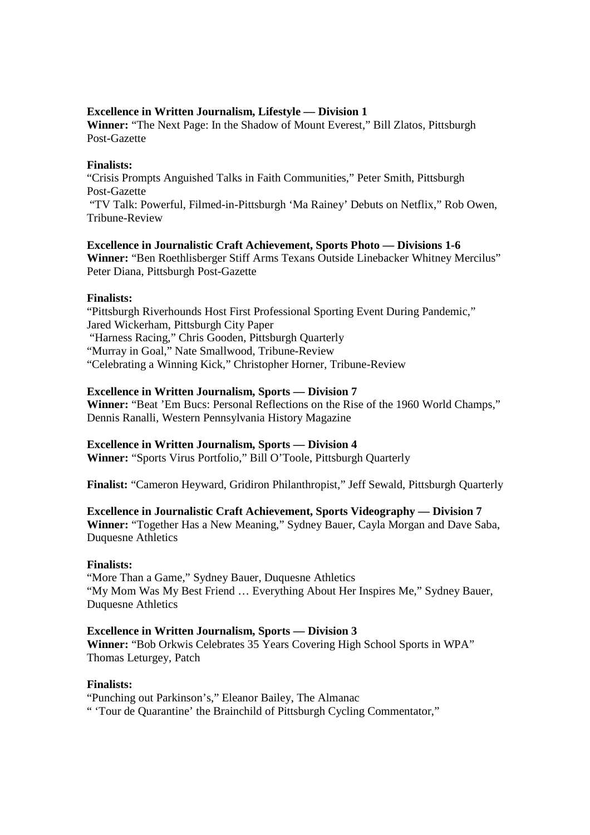# **Excellence in Written Journalism, Lifestyle — Division 1**

**Winner:** "The Next Page: In the Shadow of Mount Everest," Bill Zlatos, Pittsburgh Post-Gazette

## **Finalists:**

"Crisis Prompts Anguished Talks in Faith Communities," Peter Smith, Pittsburgh Post-Gazette

 "TV Talk: Powerful, Filmed-in-Pittsburgh 'Ma Rainey' Debuts on Netflix," Rob Owen, Tribune-Review

#### **Excellence in Journalistic Craft Achievement, Sports Photo — Divisions 1-6**

**Winner:** "Ben Roethlisberger Stiff Arms Texans Outside Linebacker Whitney Mercilus" Peter Diana, Pittsburgh Post-Gazette

## **Finalists:**

"Pittsburgh Riverhounds Host First Professional Sporting Event During Pandemic," Jared Wickerham, Pittsburgh City Paper "Harness Racing," Chris Gooden, Pittsburgh Quarterly "Murray in Goal," Nate Smallwood, Tribune-Review "Celebrating a Winning Kick," Christopher Horner, Tribune-Review

## **Excellence in Written Journalism, Sports — Division 7**

**Winner:** "Beat 'Em Bucs: Personal Reflections on the Rise of the 1960 World Champs," Dennis Ranalli, Western Pennsylvania History Magazine

## **Excellence in Written Journalism, Sports — Division 4**

**Winner:** "Sports Virus Portfolio," Bill O'Toole, Pittsburgh Quarterly

**Finalist:** "Cameron Heyward, Gridiron Philanthropist," Jeff Sewald, Pittsburgh Quarterly

## **Excellence in Journalistic Craft Achievement, Sports Videography — Division 7**

**Winner:** "Together Has a New Meaning," Sydney Bauer, Cayla Morgan and Dave Saba, Duquesne Athletics

## **Finalists:**

"More Than a Game," Sydney Bauer, Duquesne Athletics "My Mom Was My Best Friend … Everything About Her Inspires Me," Sydney Bauer, Duquesne Athletics

## **Excellence in Written Journalism, Sports — Division 3**

**Winner:** "Bob Orkwis Celebrates 35 Years Covering High School Sports in WPA" Thomas Leturgey, Patch

## **Finalists:**

"Punching out Parkinson's," Eleanor Bailey, The Almanac " 'Tour de Quarantine' the Brainchild of Pittsburgh Cycling Commentator,"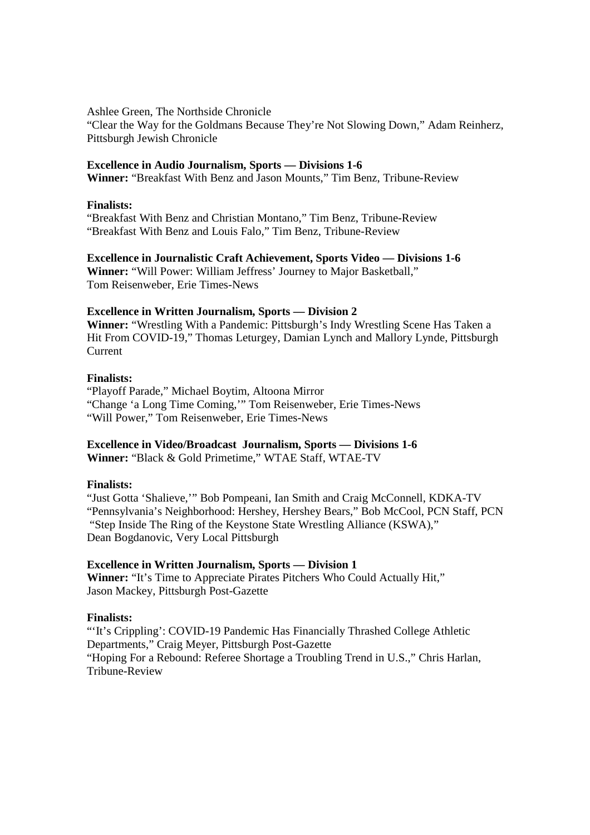Ashlee Green, The Northside Chronicle

"Clear the Way for the Goldmans Because They're Not Slowing Down," Adam Reinherz, Pittsburgh Jewish Chronicle

## **Excellence in Audio Journalism, Sports — Divisions 1-6**

**Winner:** "Breakfast With Benz and Jason Mounts," Tim Benz, Tribune-Review

## **Finalists:**

"Breakfast With Benz and Christian Montano," Tim Benz, Tribune-Review "Breakfast With Benz and Louis Falo," Tim Benz, Tribune-Review

**Excellence in Journalistic Craft Achievement, Sports Video — Divisions 1-6 Winner:** "Will Power: William Jeffress' Journey to Major Basketball," Tom Reisenweber, Erie Times-News

# **Excellence in Written Journalism, Sports — Division 2**

**Winner:** "Wrestling With a Pandemic: Pittsburgh's Indy Wrestling Scene Has Taken a Hit From COVID-19," Thomas Leturgey, Damian Lynch and Mallory Lynde, Pittsburgh Current

## **Finalists:**

"Playoff Parade," Michael Boytim, Altoona Mirror "Change 'a Long Time Coming,'" Tom Reisenweber, Erie Times-News "Will Power," Tom Reisenweber, Erie Times-News

# **Excellence in Video/Broadcast Journalism, Sports — Divisions 1-6**

**Winner:** "Black & Gold Primetime," WTAE Staff, WTAE-TV

## **Finalists:**

"Just Gotta 'Shalieve,'" Bob Pompeani, Ian Smith and Craig McConnell, KDKA-TV "Pennsylvania's Neighborhood: Hershey, Hershey Bears," Bob McCool, PCN Staff, PCN "Step Inside The Ring of the Keystone State Wrestling Alliance (KSWA)," Dean Bogdanovic, Very Local Pittsburgh

## **Excellence in Written Journalism, Sports — Division 1**

**Winner:** "It's Time to Appreciate Pirates Pitchers Who Could Actually Hit," Jason Mackey, Pittsburgh Post-Gazette

## **Finalists:**

"'It's Crippling': COVID-19 Pandemic Has Financially Thrashed College Athletic Departments," Craig Meyer, Pittsburgh Post-Gazette "Hoping For a Rebound: Referee Shortage a Troubling Trend in U.S.," Chris Harlan, Tribune-Review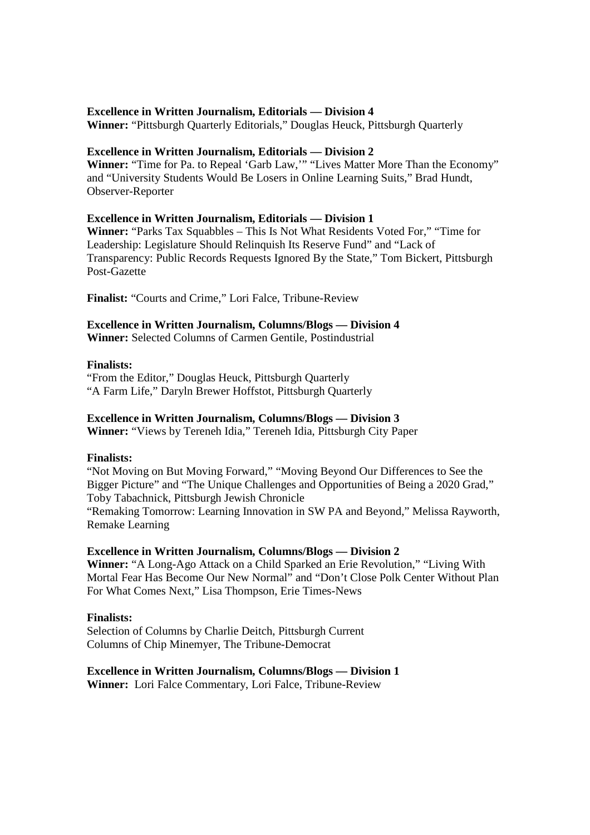## **Excellence in Written Journalism, Editorials — Division 4**

**Winner:** "Pittsburgh Quarterly Editorials," Douglas Heuck, Pittsburgh Quarterly

## **Excellence in Written Journalism, Editorials — Division 2**

**Winner:** "Time for Pa. to Repeal 'Garb Law,'" "Lives Matter More Than the Economy" and "University Students Would Be Losers in Online Learning Suits," Brad Hundt, Observer-Reporter

## **Excellence in Written Journalism, Editorials — Division 1**

**Winner:** "Parks Tax Squabbles – This Is Not What Residents Voted For," "Time for Leadership: Legislature Should Relinquish Its Reserve Fund" and "Lack of Transparency: Public Records Requests Ignored By the State," Tom Bickert, Pittsburgh Post-Gazette

**Finalist:** "Courts and Crime," Lori Falce, Tribune-Review

# **Excellence in Written Journalism, Columns/Blogs — Division 4**

**Winner:** Selected Columns of Carmen Gentile, Postindustrial

## **Finalists:**

"From the Editor," Douglas Heuck, Pittsburgh Quarterly "A Farm Life," Daryln Brewer Hoffstot, Pittsburgh Quarterly

# **Excellence in Written Journalism, Columns/Blogs — Division 3**

**Winner:** "Views by Tereneh Idia," Tereneh Idia, Pittsburgh City Paper

## **Finalists:**

"Not Moving on But Moving Forward," "Moving Beyond Our Differences to See the Bigger Picture" and "The Unique Challenges and Opportunities of Being a 2020 Grad," Toby Tabachnick, Pittsburgh Jewish Chronicle "Remaking Tomorrow: Learning Innovation in SW PA and Beyond," Melissa Rayworth, Remake Learning

## **Excellence in Written Journalism, Columns/Blogs — Division 2**

**Winner:** "A Long-Ago Attack on a Child Sparked an Erie Revolution," "Living With Mortal Fear Has Become Our New Normal" and "Don't Close Polk Center Without Plan For What Comes Next," Lisa Thompson, Erie Times-News

## **Finalists:**

Selection of Columns by Charlie Deitch, Pittsburgh Current Columns of Chip Minemyer, The Tribune-Democrat

# **Excellence in Written Journalism, Columns/Blogs — Division 1**

**Winner:** Lori Falce Commentary, Lori Falce, Tribune-Review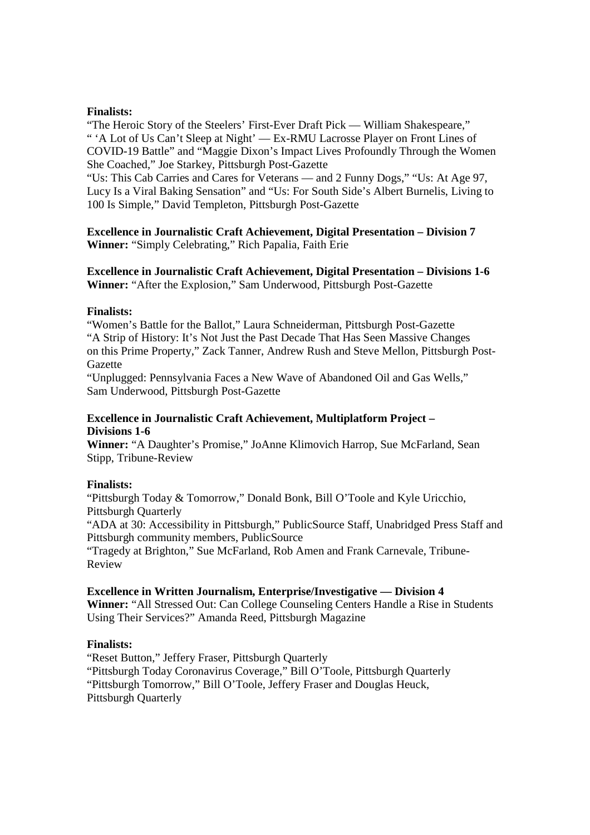## **Finalists:**

"The Heroic Story of the Steelers' First-Ever Draft Pick — William Shakespeare," " 'A Lot of Us Can't Sleep at Night' — Ex-RMU Lacrosse Player on Front Lines of COVID-19 Battle" and "Maggie Dixon's Impact Lives Profoundly Through the Women She Coached," Joe Starkey, Pittsburgh Post-Gazette

"Us: This Cab Carries and Cares for Veterans — and 2 Funny Dogs," "Us: At Age 97, Lucy Is a Viral Baking Sensation" and "Us: For South Side's Albert Burnelis, Living to 100 Is Simple," David Templeton, Pittsburgh Post-Gazette

## **Excellence in Journalistic Craft Achievement, Digital Presentation – Division 7 Winner:** "Simply Celebrating," Rich Papalia, Faith Erie

**Excellence in Journalistic Craft Achievement, Digital Presentation – Divisions 1-6 Winner:** "After the Explosion," Sam Underwood, Pittsburgh Post-Gazette

## **Finalists:**

"Women's Battle for the Ballot," Laura Schneiderman, Pittsburgh Post-Gazette "A Strip of History: It's Not Just the Past Decade That Has Seen Massive Changes on this Prime Property," Zack Tanner, Andrew Rush and Steve Mellon, Pittsburgh Post-Gazette

"Unplugged: Pennsylvania Faces a New Wave of Abandoned Oil and Gas Wells," Sam Underwood, Pittsburgh Post-Gazette

# **Excellence in Journalistic Craft Achievement, Multiplatform Project – Divisions 1-6**

**Winner:** "A Daughter's Promise," JoAnne Klimovich Harrop, Sue McFarland, Sean Stipp, Tribune-Review

# **Finalists:**

"Pittsburgh Today & Tomorrow," Donald Bonk, Bill O'Toole and Kyle Uricchio, Pittsburgh Quarterly

"ADA at 30: Accessibility in Pittsburgh," PublicSource Staff, Unabridged Press Staff and Pittsburgh community members, PublicSource

"Tragedy at Brighton," Sue McFarland, Rob Amen and Frank Carnevale, Tribune-Review

## **Excellence in Written Journalism, Enterprise/Investigative — Division 4**

**Winner:** "All Stressed Out: Can College Counseling Centers Handle a Rise in Students Using Their Services?" Amanda Reed, Pittsburgh Magazine

# **Finalists:**

"Reset Button," Jeffery Fraser, Pittsburgh Quarterly "Pittsburgh Today Coronavirus Coverage," Bill O'Toole, Pittsburgh Quarterly "Pittsburgh Tomorrow," Bill O'Toole, Jeffery Fraser and Douglas Heuck, Pittsburgh Quarterly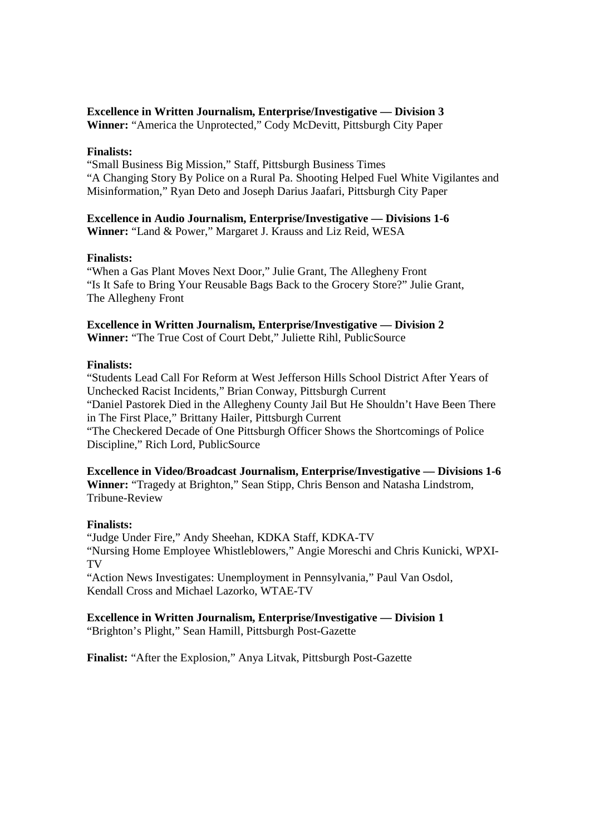# **Excellence in Written Journalism, Enterprise/Investigative — Division 3**

**Winner:** "America the Unprotected," Cody McDevitt, Pittsburgh City Paper

## **Finalists:**

"Small Business Big Mission," Staff, Pittsburgh Business Times "A Changing Story By Police on a Rural Pa. Shooting Helped Fuel White Vigilantes and Misinformation," Ryan Deto and Joseph Darius Jaafari, Pittsburgh City Paper

## **Excellence in Audio Journalism, Enterprise/Investigative — Divisions 1-6 Winner:** "Land & Power," Margaret J. Krauss and Liz Reid, WESA

## **Finalists:**

"When a Gas Plant Moves Next Door," Julie Grant, The Allegheny Front "Is It Safe to Bring Your Reusable Bags Back to the Grocery Store?" Julie Grant, The Allegheny Front

# **Excellence in Written Journalism, Enterprise/Investigative — Division 2 Winner:** "The True Cost of Court Debt," Juliette Rihl, PublicSource

## **Finalists:**

"Students Lead Call For Reform at West Jefferson Hills School District After Years of Unchecked Racist Incidents," Brian Conway, Pittsburgh Current "Daniel Pastorek Died in the Allegheny County Jail But He Shouldn't Have Been There in The First Place," Brittany Hailer, Pittsburgh Current "The Checkered Decade of One Pittsburgh Officer Shows the Shortcomings of Police Discipline," Rich Lord, PublicSource

## **Excellence in Video/Broadcast Journalism, Enterprise/Investigative — Divisions 1-6**

**Winner:** "Tragedy at Brighton," Sean Stipp, Chris Benson and Natasha Lindstrom, Tribune-Review

## **Finalists:**

"Judge Under Fire," Andy Sheehan, KDKA Staff, KDKA-TV "Nursing Home Employee Whistleblowers," Angie Moreschi and Chris Kunicki, WPXI-TV

"Action News Investigates: Unemployment in Pennsylvania," Paul Van Osdol, Kendall Cross and Michael Lazorko, WTAE-TV

**Excellence in Written Journalism, Enterprise/Investigative — Division 1** "Brighton's Plight," Sean Hamill, Pittsburgh Post-Gazette

**Finalist:** "After the Explosion," Anya Litvak, Pittsburgh Post-Gazette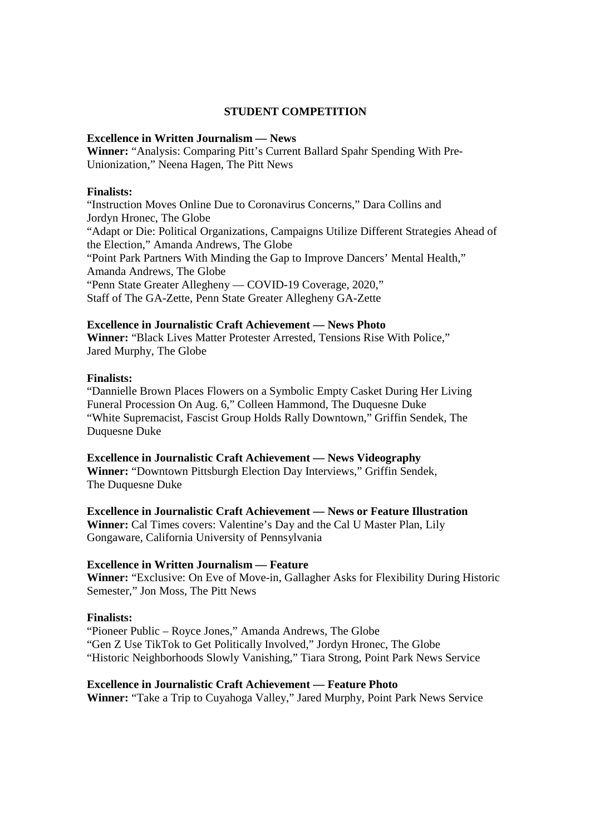# **STUDENT COMPETITION**

#### **Excellence in Written Journalism — News**

**Winner:** "Analysis: Comparing Pitt's Current Ballard Spahr Spending With Pre-Unionization," Neena Hagen, The Pitt News

#### **Finalists:**

"Instruction Moves Online Due to Coronavirus Concerns," Dara Collins and Jordyn Hronec, The Globe "Adapt or Die: Political Organizations, Campaigns Utilize Different Strategies Ahead of the Election," Amanda Andrews, The Globe "Point Park Partners With Minding the Gap to Improve Dancers' Mental Health," Amanda Andrews, The Globe "Penn State Greater Allegheny — COVID-19 Coverage, 2020," Staff of The GA-Zette, Penn State Greater Allegheny GA-Zette

#### **Excellence in Journalistic Craft Achievement — News Photo**

**Winner:** "Black Lives Matter Protester Arrested, Tensions Rise With Police," Jared Murphy, The Globe

#### **Finalists:**

"Dannielle Brown Places Flowers on a Symbolic Empty Casket During Her Living Funeral Procession On Aug. 6," Colleen Hammond, The Duquesne Duke "White Supremacist, Fascist Group Holds Rally Downtown," Griffin Sendek, The Duquesne Duke

## **Excellence in Journalistic Craft Achievement — News Videography**

**Winner:** "Downtown Pittsburgh Election Day Interviews," Griffin Sendek, The Duquesne Duke

## **Excellence in Journalistic Craft Achievement — News or Feature Illustration**

**Winner:** Cal Times covers: Valentine's Day and the Cal U Master Plan, Lily Gongaware, California University of Pennsylvania

#### **Excellence in Written Journalism — Feature**

**Winner:** "Exclusive: On Eve of Move-in, Gallagher Asks for Flexibility During Historic Semester," Jon Moss, The Pitt News

#### **Finalists:**

"Pioneer Public – Royce Jones," Amanda Andrews, The Globe "Gen Z Use TikTok to Get Politically Involved," Jordyn Hronec, The Globe "Historic Neighborhoods Slowly Vanishing," Tiara Strong, Point Park News Service

#### **Excellence in Journalistic Craft Achievement — Feature Photo**

**Winner:** "Take a Trip to Cuyahoga Valley," Jared Murphy, Point Park News Service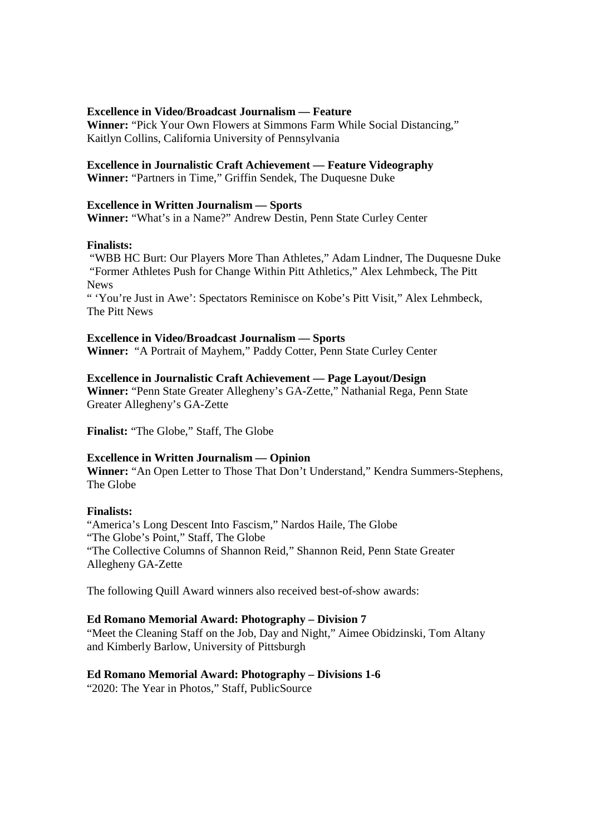## **Excellence in Video/Broadcast Journalism — Feature**

**Winner:** "Pick Your Own Flowers at Simmons Farm While Social Distancing," Kaitlyn Collins, California University of Pennsylvania

## **Excellence in Journalistic Craft Achievement — Feature Videography**

**Winner:** "Partners in Time," Griffin Sendek, The Duquesne Duke

## **Excellence in Written Journalism — Sports**

**Winner:** "What's in a Name?" Andrew Destin, Penn State Curley Center

## **Finalists:**

 "WBB HC Burt: Our Players More Than Athletes," Adam Lindner, The Duquesne Duke "Former Athletes Push for Change Within Pitt Athletics," Alex Lehmbeck, The Pitt News

" 'You're Just in Awe': Spectators Reminisce on Kobe's Pitt Visit," Alex Lehmbeck, The Pitt News

# **Excellence in Video/Broadcast Journalism — Sports**

**Winner:** "A Portrait of Mayhem," Paddy Cotter, Penn State Curley Center

## **Excellence in Journalistic Craft Achievement — Page Layout/Design**

**Winner:** "Penn State Greater Allegheny's GA-Zette," Nathanial Rega, Penn State Greater Allegheny's GA-Zette

**Finalist:** "The Globe," Staff, The Globe

# **Excellence in Written Journalism — Opinion**

**Winner:** "An Open Letter to Those That Don't Understand," Kendra Summers-Stephens, The Globe

## **Finalists:**

"America's Long Descent Into Fascism," Nardos Haile, The Globe "The Globe's Point," Staff, The Globe "The Collective Columns of Shannon Reid," Shannon Reid, Penn State Greater Allegheny GA-Zette

The following Quill Award winners also received best-of-show awards:

## **Ed Romano Memorial Award: Photography – Division 7**

"Meet the Cleaning Staff on the Job, Day and Night," Aimee Obidzinski, Tom Altany and Kimberly Barlow, University of Pittsburgh

# **Ed Romano Memorial Award: Photography – Divisions 1-6**

"2020: The Year in Photos," Staff, PublicSource